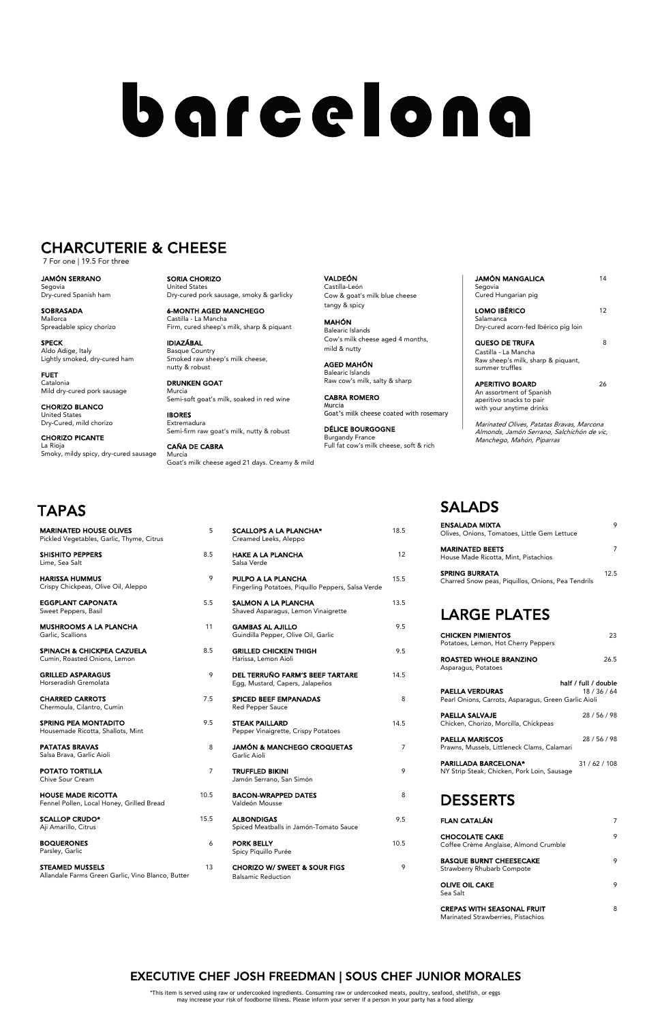TRUFFLED BIKINI Jamón Serrano, San Simón

BACON-WRAPPED DATES Valdeón Mousse

**ALBONDIGAS** Spiced Meatballs in Jamón-Tomato Sauce

PORK BELLY Spicy Piquillo Purée

CHORIZO W/ SWEET & SOUR FIGS Balsamic Reduction

| 9    | <b>PARILLADA BARCELONA*</b><br>NY Strip Steak, Chicken, Pork Loin, Sausage | 31/62/108 |
|------|----------------------------------------------------------------------------|-----------|
| 8    | <b>DESSERTS</b>                                                            |           |
| 9.5  | <b>FLAN CATALÁN</b>                                                        | 7         |
| 10.5 | <b>CHOCOLATE CAKE</b><br>Coffee Crème Anglaise, Almond Crumble             | 9         |
| 9    | <b>BASQUE BURNT CHEESECAKE</b><br><b>Strawberry Rhubarb Compote</b>        | 9         |
|      | <b>OLIVE OIL CAKE</b><br>Sea Salt                                          | 9         |
|      | <b>CREPAS WITH SEASONAL FRUIT</b>                                          | 8         |

Garlic Aioli

POTATO TORTILLA 7 Chive Sour Cream

HOUSE MADE RICOTTA 10.5 Fennel Pollen, Local Honey, Grilled Bread

SCALLOP CRUDO\* 15.5 Aji Amarillo, Citrus

BOQUERONES 6 Parsley, Garlic

STEAMED MUSSELS 13 Allandale Farms Green Garlic, Vino Blanco, Butter

Salsa Brava, Garlic Aioli

## SALADS

JAMÓN MANGALICA 14 Segovia Cured Hungarian pig

LOMO IBÉRICO 12 Salamanca Dry-cured acorn-fed Ibérico pig loin

QUESO DE TRUFA 8 Castilla - La Mancha Raw sheep's milk, sharp & piquant, summer truffles

APERITIVO BOARD 26 An assortment of Spanish aperitivo snacks to pair with your anytime drinks

| ENSALADA MIXTA<br>Olives, Onions, Tomatoes, Little Gem Lettuce                                                         | 9    |
|------------------------------------------------------------------------------------------------------------------------|------|
| <b>MARINATED BEETS</b><br>House Made Ricotta, Mint, Pistachios                                                         | 7    |
| <b>SPRING BURRATA</b><br>Charred Snow peas, Piquillos, Onions, Pea Tendrils                                            | 12.5 |
| <b>LARGE PLATES</b>                                                                                                    |      |
| <b>CHICKEN PIMIENTOS</b><br>Potatoes, Lemon, Hot Cherry Peppers                                                        | 23   |
| ROASTED WHOLE BRANZINO<br>Asparagus, Potatoes                                                                          | 26.5 |
| half / full / double<br><b>PAELLA VERDURAS</b><br>18 / 36 / 64<br>Pearl Onions, Carrots, Asparagus, Green Garlic Aioli |      |

| <b>PAELLA SALVAJE</b><br>Chicken, Chorizo, Morcilla, Chickpeas        | 28/56/98 |
|-----------------------------------------------------------------------|----------|
| <b>PAELLA MARISCOS</b><br>Prawns, Mussels, Littleneck Clams, Calamari | 28/56/98 |

| <b>MARINATED HOUSE OLIVES</b><br>Pickled Vegetables, Garlic, Thyme, Citrus | 5   | <b>SCALLOPS A LA PLANCHA*</b><br>Creamed Leeks, Aleppo                          | 18.5           |
|----------------------------------------------------------------------------|-----|---------------------------------------------------------------------------------|----------------|
| <b>SHISHITO PEPPERS</b><br>Lime, Sea Salt                                  | 8.5 | <b>HAKE A LA PLANCHA</b><br>Salsa Verde                                         | 12             |
| <b>HARISSA HUMMUS</b><br>Crispy Chickpeas, Olive Oil, Aleppo               | 9   | <b>PULPO A LA PLANCHA</b><br>Fingerling Potatoes, Piquillo Peppers, Salsa Verde | 15.5           |
| <b>EGGPLANT CAPONATA</b><br>Sweet Peppers, Basil                           | 5.5 | SALMON A LA PLANCHA<br>Shaved Asparagus, Lemon Vinaigrette                      | 13.5           |
| <b>MUSHROOMS A LA PLANCHA</b><br>Garlic, Scallions                         | 11  | <b>GAMBAS AL AJILLO</b><br>Guindilla Pepper, Olive Oil, Garlic                  | 9.5            |
| <b>SPINACH &amp; CHICKPEA CAZUELA</b><br>Cumin, Roasted Onions, Lemon      | 8.5 | <b>GRILLED CHICKEN THIGH</b><br>Harissa, Lemon Aioli                            | 9.5            |
| <b>GRILLED ASPARAGUS</b><br>Horseradish Gremolata                          | 9   | DEL TERRUÑO FARM'S BEEF TARTARE<br>Egg, Mustard, Capers, Jalapeños              | 14.5           |
| <b>CHARRED CARROTS</b><br>Chermoula, Cilantro, Cumin                       | 7.5 | <b>SPICED BEEF EMPANADAS</b><br>Red Pepper Sauce                                | 8              |
| <b>SPRING PEA MONTADITO</b><br>Housemade Ricotta, Shallots, Mint           | 9.5 | <b>STEAK PAILLARD</b><br>Pepper Vinaigrette, Crispy Potatoes                    | 14.5           |
| <b>PATATAS BRAVAS</b>                                                      | 8   | <b>JAMÓN &amp; MANCHEGO CROQUETAS</b>                                           | $\overline{7}$ |

Marinated Strawberries, Pistachios

SORIA CHORIZO United States Dry-cured pork sausage, smoky & garlicky

6-MONTH AGED MANCHEGO Castilla - La Mancha Firm, cured sheep's milk, sharp & piquant

IDIAZÁBAL Basque Country Smoked raw sheep's milk cheese, nutty & robust

DRUNKEN GOAT Murcia Semi-soft goat's milk, soaked in red wine

IBORES Extremadura Semi-firm raw goat's milk, nutty & robust

CAÑA DE CABRA Murcia Goat's milk cheese aged 21 days. Creamy & mild VALDEÓN Castilla-León Cow & goat's milk blue cheese tangy & spicy

MAHÓN Balearic Islands Cow's milk cheese aged 4 months, mild & nutty

AGED MAHÓN Balearic Islands Raw cow's milk, salty & sharp

CABRA ROMERO Murcia Goat's milk cheese coated with rosemary

DÉLICE BOURGOGNE Burgandy France Full fat cow's milk cheese, soft & rich Marinated Olives, Patatas Bravas, Marcona Almonds, Jamón Serrano, Salchichón de vic, Manchego, Mahón, Piparras

JAMÓN SERRANO Segovia Dry-cured Spanish ham

SOBRASADA Mallorca Spreadable spicy chorizo

SPECK Aldo Adige, Italy Lightly smoked, dry-cured ham

FUET Catalonia Mild dry-cured pork sausage

CHORIZO BLANCO United States Dry-Cured, mild chorizo

CHORIZO PICANTE La Rioja Smoky, mildy spicy, dry-cured sausage

# barcelona

## CHARCUTERIE & CHEESE

<sup>7</sup> For one | 19.5 For three

\*This item is served using raw or undercooked ingredients. Consuming raw or undercooked meats, poultry, seafood, shellfish, or eggs may increase your risk of foodborne illness. Please inform your server if a person in your party has a food allergy

## EXECUTIVE CHEF JOSH FREEDMAN | SOUS CHEF JUNIOR MORALES

## TAPAS